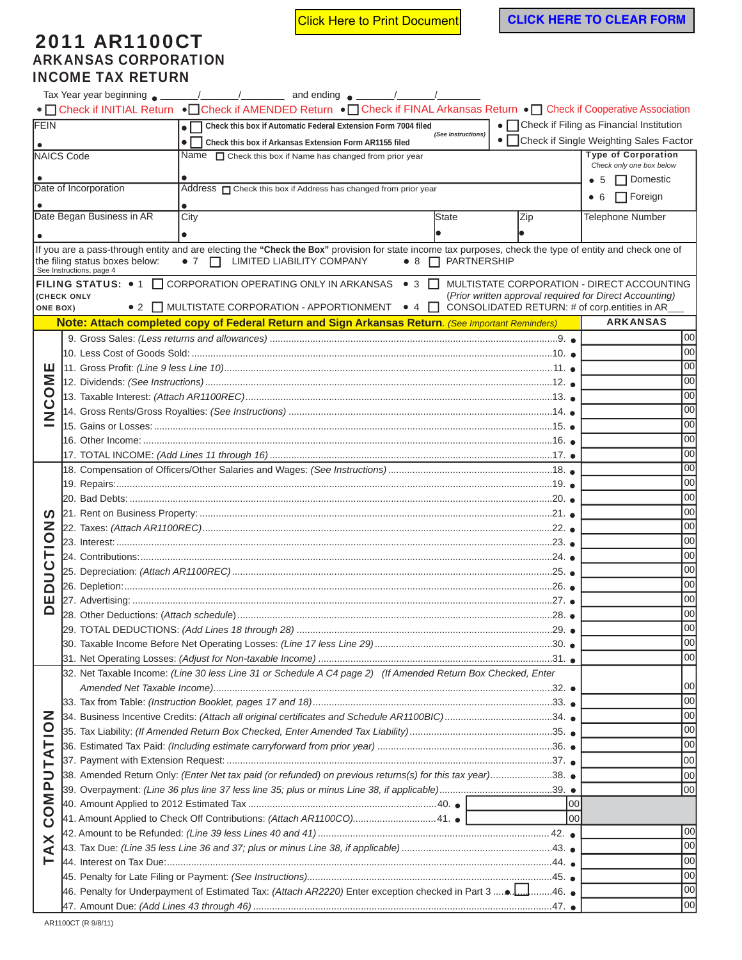Click Here to Print Document **CLICK HERE TO CLEAR FORM** 

## 2011 AR1100CT ARKANSAS CORPORATION INCOME TAX RETURN

|                                 |                                                                                                           |                                                                                                              | • Check if INITIAL Return • Check if AMENDED Return • Check if FINAL Arkansas Return • Check if Cooperative Association                                  |                                |                                                         |                                            |  |  |
|---------------------------------|-----------------------------------------------------------------------------------------------------------|--------------------------------------------------------------------------------------------------------------|----------------------------------------------------------------------------------------------------------------------------------------------------------|--------------------------------|---------------------------------------------------------|--------------------------------------------|--|--|
| FEIN                            |                                                                                                           |                                                                                                              | • Check this box if Automatic Federal Extension Form 7004 filed                                                                                          |                                |                                                         | • Check if Filing as Financial Institution |  |  |
|                                 | (See Instructions)<br>$\bullet$ 1<br>Check this box if Arkansas Extension Form AR1155 filed               |                                                                                                              |                                                                                                                                                          |                                |                                                         | • Check if Single Weighting Sales Factor   |  |  |
|                                 | NAICS Code                                                                                                |                                                                                                              | Name $\Box$ Check this box if Name has changed from prior year                                                                                           |                                |                                                         | <b>Type of Corporation</b>                 |  |  |
|                                 |                                                                                                           |                                                                                                              |                                                                                                                                                          |                                |                                                         | Check only one box below                   |  |  |
|                                 |                                                                                                           |                                                                                                              |                                                                                                                                                          |                                |                                                         | □ Domestic<br>$\bullet$ 5                  |  |  |
|                                 | Date of Incorporation                                                                                     |                                                                                                              | Address <sub>O</sub> Check this box if Address has changed from prior year                                                                               |                                |                                                         | $\Box$ Foreign<br>• 6                      |  |  |
|                                 |                                                                                                           |                                                                                                              |                                                                                                                                                          |                                |                                                         |                                            |  |  |
|                                 | Date Began Business in AR                                                                                 | City                                                                                                         |                                                                                                                                                          | <b>State</b>                   | Zip                                                     | <b>Telephone Number</b>                    |  |  |
|                                 |                                                                                                           |                                                                                                              |                                                                                                                                                          |                                |                                                         |                                            |  |  |
|                                 |                                                                                                           |                                                                                                              | If you are a pass-through entity and are electing the "Check the Box" provision for state income tax purposes, check the type of entity and check one of |                                |                                                         |                                            |  |  |
|                                 | the filing status boxes below:                                                                            | $\bullet$ 7 $\Box$ LIMITED LIABILITY COMPANY                                                                 |                                                                                                                                                          | $\bullet$ 8 $\Box$ PARTNERSHIP |                                                         |                                            |  |  |
|                                 | See Instructions, page 4                                                                                  |                                                                                                              | FILING STATUS: • 1 CORPORATION OPERATING ONLY IN ARKANSAS • 3 C                                                                                          |                                |                                                         | MULTISTATE CORPORATION - DIRECT ACCOUNTING |  |  |
|                                 | (CHECK ONLY                                                                                               |                                                                                                              |                                                                                                                                                          |                                | (Prior written approval required for Direct Accounting) |                                            |  |  |
|                                 | <b>ONE BOX)</b>                                                                                           |                                                                                                              | • 2 $\Box$ MULTISTATE CORPORATION - APPORTIONMENT • 4 $\Box$ CONSOLIDATED RETURN: # of corp.entities in AR                                               |                                |                                                         |                                            |  |  |
|                                 |                                                                                                           |                                                                                                              | Note: Attach completed copy of Federal Return and Sign Arkansas Return. (See Important Reminders)                                                        |                                |                                                         | <b>ARKANSAS</b>                            |  |  |
|                                 |                                                                                                           |                                                                                                              |                                                                                                                                                          |                                |                                                         | 100                                        |  |  |
|                                 |                                                                                                           |                                                                                                              |                                                                                                                                                          |                                |                                                         | 00                                         |  |  |
|                                 |                                                                                                           |                                                                                                              |                                                                                                                                                          |                                |                                                         | 00                                         |  |  |
|                                 |                                                                                                           |                                                                                                              |                                                                                                                                                          |                                |                                                         | 00                                         |  |  |
| OME<br>ن<br>2                   |                                                                                                           |                                                                                                              |                                                                                                                                                          |                                |                                                         | 00                                         |  |  |
|                                 |                                                                                                           |                                                                                                              |                                                                                                                                                          |                                |                                                         |                                            |  |  |
|                                 |                                                                                                           |                                                                                                              |                                                                                                                                                          |                                |                                                         | 00                                         |  |  |
|                                 |                                                                                                           |                                                                                                              |                                                                                                                                                          |                                |                                                         | 00                                         |  |  |
|                                 |                                                                                                           | 00                                                                                                           |                                                                                                                                                          |                                |                                                         |                                            |  |  |
|                                 |                                                                                                           |                                                                                                              |                                                                                                                                                          |                                |                                                         | 00                                         |  |  |
|                                 |                                                                                                           |                                                                                                              |                                                                                                                                                          |                                |                                                         | 00                                         |  |  |
|                                 |                                                                                                           |                                                                                                              | 00                                                                                                                                                       |                                |                                                         |                                            |  |  |
|                                 |                                                                                                           |                                                                                                              |                                                                                                                                                          | 00                             |                                                         |                                            |  |  |
| ທ                               |                                                                                                           |                                                                                                              |                                                                                                                                                          | 00                             |                                                         |                                            |  |  |
| Z                               |                                                                                                           |                                                                                                              |                                                                                                                                                          | 00                             |                                                         |                                            |  |  |
| $\overline{\mathsf{C}}$         |                                                                                                           |                                                                                                              | 00                                                                                                                                                       |                                |                                                         |                                            |  |  |
|                                 |                                                                                                           |                                                                                                              |                                                                                                                                                          | 00                             |                                                         |                                            |  |  |
| ⊃                               |                                                                                                           |                                                                                                              |                                                                                                                                                          |                                |                                                         | 00                                         |  |  |
| ◘                               |                                                                                                           |                                                                                                              |                                                                                                                                                          |                                |                                                         | 00                                         |  |  |
| ш                               |                                                                                                           |                                                                                                              |                                                                                                                                                          |                                |                                                         | 00                                         |  |  |
|                                 |                                                                                                           |                                                                                                              |                                                                                                                                                          |                                |                                                         | 00                                         |  |  |
|                                 |                                                                                                           |                                                                                                              |                                                                                                                                                          |                                |                                                         | 00                                         |  |  |
|                                 |                                                                                                           |                                                                                                              |                                                                                                                                                          |                                |                                                         | 00                                         |  |  |
|                                 |                                                                                                           | 00                                                                                                           |                                                                                                                                                          |                                |                                                         |                                            |  |  |
|                                 |                                                                                                           | 32. Net Taxable Income: (Line 30 less Line 31 or Schedule A C4 page 2) (If Amended Return Box Checked, Enter |                                                                                                                                                          |                                |                                                         |                                            |  |  |
|                                 |                                                                                                           | 100                                                                                                          |                                                                                                                                                          |                                |                                                         |                                            |  |  |
|                                 |                                                                                                           | 00                                                                                                           |                                                                                                                                                          |                                |                                                         |                                            |  |  |
|                                 | 34. Business Incentive Credits: (Attach all original certificates and Schedule AR1100BIC)34.              |                                                                                                              |                                                                                                                                                          |                                |                                                         | 00                                         |  |  |
|                                 |                                                                                                           |                                                                                                              |                                                                                                                                                          |                                |                                                         | 00                                         |  |  |
|                                 |                                                                                                           |                                                                                                              |                                                                                                                                                          |                                |                                                         | 00                                         |  |  |
| TATION                          |                                                                                                           |                                                                                                              |                                                                                                                                                          |                                |                                                         | 00                                         |  |  |
|                                 | 38. Amended Return Only: (Enter Net tax paid (or refunded) on previous returns(s) for this tax year)38. ● |                                                                                                              |                                                                                                                                                          |                                |                                                         |                                            |  |  |
|                                 |                                                                                                           |                                                                                                              |                                                                                                                                                          |                                |                                                         | 100                                        |  |  |
|                                 |                                                                                                           | 00                                                                                                           |                                                                                                                                                          |                                |                                                         |                                            |  |  |
| <b>DAMD</b><br>ပ<br>×<br>⋖<br>⊢ | lool<br>41. Amount Applied to Check Off Contributions: (Attach AR1100CO)41. .                             |                                                                                                              |                                                                                                                                                          |                                |                                                         |                                            |  |  |
|                                 |                                                                                                           |                                                                                                              |                                                                                                                                                          |                                | lool                                                    |                                            |  |  |
|                                 |                                                                                                           |                                                                                                              |                                                                                                                                                          |                                |                                                         | 00                                         |  |  |
|                                 |                                                                                                           |                                                                                                              |                                                                                                                                                          |                                |                                                         | 00                                         |  |  |
|                                 |                                                                                                           |                                                                                                              |                                                                                                                                                          |                                |                                                         | 00                                         |  |  |
|                                 |                                                                                                           |                                                                                                              |                                                                                                                                                          |                                |                                                         | 00                                         |  |  |
|                                 |                                                                                                           |                                                                                                              |                                                                                                                                                          |                                |                                                         | 00                                         |  |  |
|                                 |                                                                                                           |                                                                                                              |                                                                                                                                                          |                                |                                                         | 00                                         |  |  |

AR1100CT (R 9/8/11)